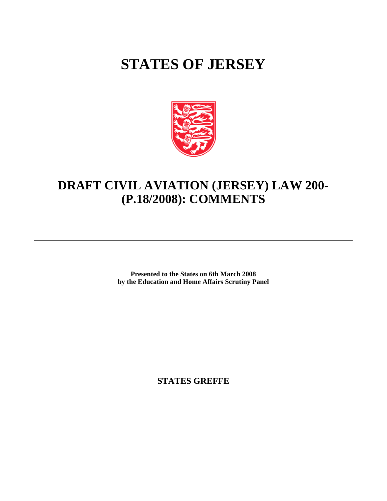# **STATES OF JERSEY**



## **DRAFT CIVIL AVIATION (JERSEY) LAW 200- (P.18/2008): COMMENTS**

**Presented to the States on 6th March 2008 by the Education and Home Affairs Scrutiny Panel**

**STATES GREFFE**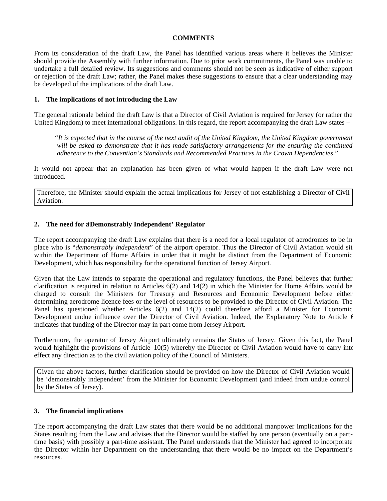#### **COMMENTS**

From its consideration of the draft Law, the Panel has identified various areas where it believes the Minister should provide the Assembly with further information. Due to prior work commitments, the Panel was unable to undertake a full detailed review. Its suggestions and comments should not be seen as indicative of either support or rejection of the draft Law; rather, the Panel makes these suggestions to ensure that a clear understanding may be developed of the implications of the draft Law.

#### **1. The implications of not introducing the Law**

The general rationale behind the draft Law is that a Director of Civil Aviation is required for Jersey (or rather the United Kingdom) to meet international obligations. In this regard, the report accompanying the draft Law states –

 "*It is expected that in the course of the next audit of the United Kingdom, the United Kingdom government will be asked to demonstrate that it has made satisfactory arrangements for the ensuring the continued adherence to the Convention's Standards and Recommended Practices in the Crown Dependencies*."

It would not appear that an explanation has been given of what would happen if the draft Law were not introduced.

Therefore, the Minister should explain the actual implications for Jersey of not establishing a Director of Civil Aviation.

### **2. The need for a'Demonstrably Independent' Regulator**

The report accompanying the draft Law explains that there is a need for a local regulator of aerodromes to be in place who is "*demonstrably independent*" of the airport operator. Thus the Director of Civil Aviation would sit within the Department of Home Affairs in order that it might be distinct from the Department of Economic Development, which has responsibility for the operational function of Jersey Airport.

Given that the Law intends to separate the operational and regulatory functions, the Panel believes that further clarification is required in relation to Articles 6(2) and 14(2) in which the Minister for Home Affairs would be charged to consult the Ministers for Treasury and Resources and Economic Development before either determining aerodrome licence fees or the level of resources to be provided to the Director of Civil Aviation. The Panel has questioned whether Articles 6(2) and 14(2) could therefore afford a Minister for Economic Development undue influence over the Director of Civil Aviation. Indeed, the Explanatory Note to Article 6 indicates that funding of the Director may in part come from Jersey Airport.

Furthermore, the operator of Jersey Airport ultimately remains the States of Jersey. Given this fact, the Panel would highlight the provisions of Article 10(5) whereby the Director of Civil Aviation would have to carry into effect any direction as to the civil aviation policy of the Council of Ministers.

Given the above factors, further clarification should be provided on how the Director of Civil Aviation would be 'demonstrably independent' from the Minister for Economic Development (and indeed from undue control by the States of Jersey).

#### **3. The financial implications**

The report accompanying the draft Law states that there would be no additional manpower implications for the States resulting from the Law and advises that the Director would be staffed by one person (eventually on a parttime basis) with possibly a part-time assistant. The Panel understands that the Minister had agreed to incorporate the Director within her Department on the understanding that there would be no impact on the Department's resources.